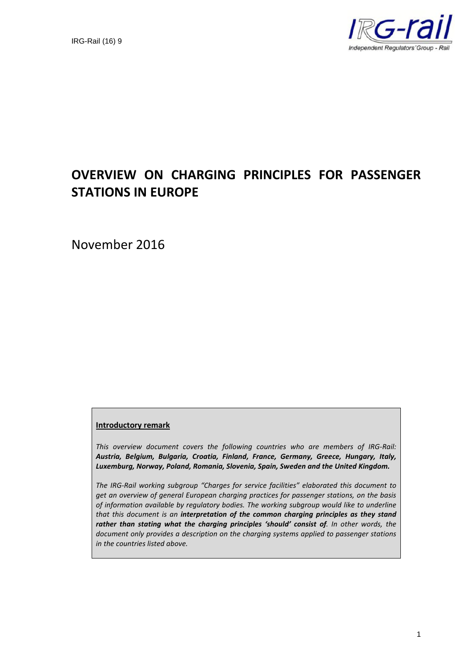

## **OVERVIEW ON CHARGING PRINCIPLES FOR PASSENGER STATIONS IN EUROPE**

November 2016

#### **Introductory remark**

*This overview document covers the following countries who are members of IRG-Rail: Austria, Belgium, Bulgaria, Croatia, Finland, France, Germany, Greece, Hungary, Italy, Luxemburg, Norway, Poland, Romania, Slovenia, Spain, Sweden and the United Kingdom.*

*The IRG-Rail working subgroup "Charges for service facilities" elaborated this document to get an overview of general European charging practices for passenger stations, on the basis of information available by regulatory bodies. The working subgroup would like to underline that this document is an interpretation of the common charging principles as they stand rather than stating what the charging principles 'should' consist of. In other words, the document only provides a description on the charging systems applied to passenger stations in the countries listed above.*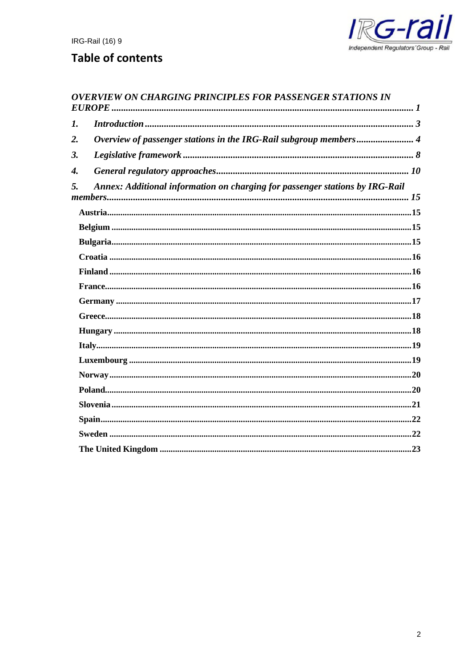

## **Table of contents**

## **OVERVIEW ON CHARGING PRINCIPLES FOR PASSENGER STATIONS IN**

| $\boldsymbol{l}$ . |                                                                              |  |
|--------------------|------------------------------------------------------------------------------|--|
| 2.                 | Overview of passenger stations in the IRG-Rail subgroup members 4            |  |
| 3.                 |                                                                              |  |
| $\boldsymbol{4}$ . |                                                                              |  |
| 5.                 | Annex: Additional information on charging for passenger stations by IRG-Rail |  |
|                    |                                                                              |  |
|                    |                                                                              |  |
|                    |                                                                              |  |
|                    |                                                                              |  |
|                    |                                                                              |  |
|                    |                                                                              |  |
|                    |                                                                              |  |
|                    |                                                                              |  |
|                    |                                                                              |  |
|                    |                                                                              |  |
|                    |                                                                              |  |
|                    |                                                                              |  |
|                    |                                                                              |  |
|                    |                                                                              |  |
|                    |                                                                              |  |
|                    |                                                                              |  |
|                    |                                                                              |  |
|                    |                                                                              |  |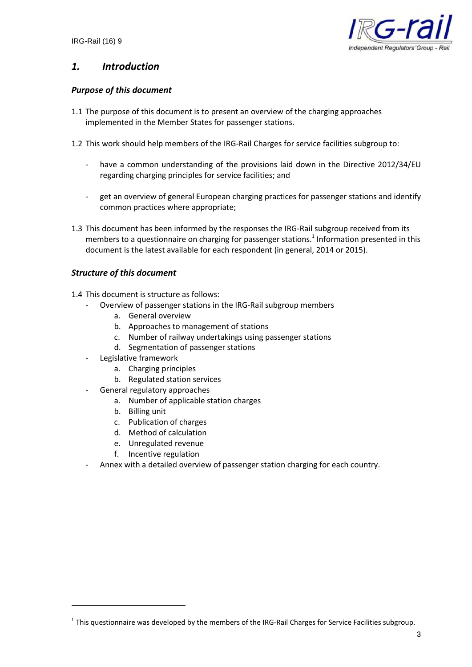

## *1. Introduction*

#### *Purpose of this document*

- 1.1 The purpose of this document is to present an overview of the charging approaches implemented in the Member States for passenger stations.
- 1.2 This work should help members of the IRG-Rail Charges for service facilities subgroup to:
	- have a common understanding of the provisions laid down in the Directive 2012/34/EU regarding charging principles for service facilities; and
	- get an overview of general European charging practices for passenger stations and identify common practices where appropriate;
- 1.3 This document has been informed by the responses the IRG-Rail subgroup received from its members to a questionnaire on charging for passenger stations.<sup>1</sup> Information presented in this document is the latest available for each respondent (in general, 2014 or 2015).

#### *Structure of this document*

- 1.4 This document is structure as follows:
	- Overview of passenger stations in the IRG-Rail subgroup members
		- a. General overview
		- b. Approaches to management of stations
		- c. Number of railway undertakings using passenger stations
		- d. Segmentation of passenger stations
	- Legislative framework
		- a. Charging principles
		- b. Regulated station services
	- General regulatory approaches
		- a. Number of applicable station charges
		- b. Billing unit
		- c. Publication of charges
		- d. Method of calculation
		- e. Unregulated revenue
		- f. Incentive regulation
	- Annex with a detailed overview of passenger station charging for each country.

 $^1$  This questionnaire was developed by the members of the IRG-Rail Charges for Service Facilities subgroup.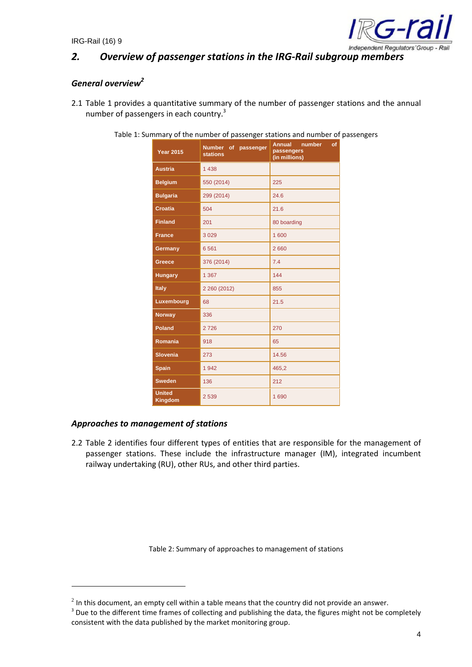

## *2. Overview of passenger stations in the IRG-Rail subgroup members*

## *General overview<sup>2</sup>*

2.1 Table 1 provides a quantitative summary of the number of passenger stations and the annual number of passengers in each country.<sup>3</sup>

| <b>Year 2015</b>         | Number of passenger<br><b>stations</b> | number<br><b>Annual</b><br>of<br>passengers<br>(in millions) |  |
|--------------------------|----------------------------------------|--------------------------------------------------------------|--|
| <b>Austria</b>           | 1438                                   |                                                              |  |
| <b>Belgium</b>           | 550 (2014)                             | 225                                                          |  |
| <b>Bulgaria</b>          | 299 (2014)                             | 24.6                                                         |  |
| <b>Croatia</b>           | 504                                    | 21.6                                                         |  |
| <b>Finland</b>           | 201                                    | 80 boarding                                                  |  |
| <b>France</b>            | 3029                                   | 1 600                                                        |  |
| Germany                  | 6561                                   | 2660                                                         |  |
| <b>Greece</b>            | 376 (2014)                             | 7.4                                                          |  |
| <b>Hungary</b>           | 1 3 6 7                                | 144                                                          |  |
| <b>Italy</b>             | 2 260 (2012)                           | 855                                                          |  |
| Luxembourg               | 68                                     | 21.5                                                         |  |
| <b>Norway</b>            | 336                                    |                                                              |  |
| <b>Poland</b>            | 2726                                   | 270                                                          |  |
| Romania                  | 918                                    | 65                                                           |  |
| <b>Slovenia</b>          | 273                                    | 14.56                                                        |  |
| <b>Spain</b>             | 1942                                   | 465,2                                                        |  |
| <b>Sweden</b>            | 136                                    | 212                                                          |  |
| <b>United</b><br>Kingdom | 2539                                   | 1690                                                         |  |

Table 1: Summary of the number of passenger stations and number of passengers

#### *Approaches to management of stations*

2.2 Table 2 identifies four different types of entities that are responsible for the management of passenger stations. These include the infrastructure manager (IM), integrated incumbent railway undertaking (RU), other RUs, and other third parties.

Table 2: Summary of approaches to management of stations

 $^2$  In this document, an empty cell within a table means that the country did not provide an answer.

<sup>&</sup>lt;sup>3</sup> Due to the different time frames of collecting and publishing the data, the figures might not be completely consistent with the data published by the market monitoring group.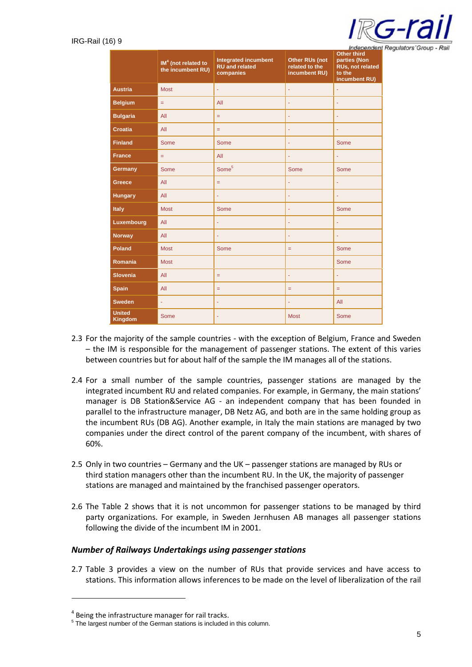

|                                 | $IM4$ (not related to<br>the incumbent RU) | <b>Integrated incumbent</b><br><b>RU</b> and related<br>companies | Other RUs (not<br>related to the<br>incumbent RU) | <u>muepenuent</u><br><b>Other third</b><br>parties (Non<br>RUs, not related<br>to the<br>incumbent RU) |
|---------------------------------|--------------------------------------------|-------------------------------------------------------------------|---------------------------------------------------|--------------------------------------------------------------------------------------------------------|
| <b>Austria</b>                  | <b>Most</b>                                | ä,                                                                | ä,                                                | ä,                                                                                                     |
| <b>Belgium</b>                  | $=$                                        | All                                                               |                                                   | ä,                                                                                                     |
| <b>Bulgaria</b>                 | All                                        | Ξ                                                                 | ä,                                                | $\blacksquare$                                                                                         |
| <b>Croatia</b>                  | All                                        | $=$                                                               | ÷                                                 | ٠                                                                                                      |
| <b>Finland</b>                  | Some                                       | Some                                                              | ä,                                                | Some                                                                                                   |
| <b>France</b>                   | ÷,                                         | All                                                               | ÷,                                                | ä,                                                                                                     |
| Germany                         | <b>Some</b>                                | Some <sup>5</sup>                                                 | Some                                              | Some                                                                                                   |
| <b>Greece</b>                   | All                                        | $\equiv$                                                          | ä,                                                | ä,                                                                                                     |
| <b>Hungary</b>                  | All                                        | ä,                                                                | ÷                                                 | Ξ                                                                                                      |
| <b>Italy</b>                    | <b>Most</b>                                | Some                                                              | ä,                                                | Some                                                                                                   |
| Luxembourg                      | All                                        |                                                                   | ÷                                                 | ä                                                                                                      |
| <b>Norway</b>                   | All                                        |                                                                   | ä,                                                | ÷                                                                                                      |
| <b>Poland</b>                   | <b>Most</b>                                | Some                                                              | $=$                                               | Some                                                                                                   |
| Romania                         | <b>Most</b>                                |                                                                   |                                                   | Some                                                                                                   |
| <b>Slovenia</b>                 | All                                        | $=$                                                               | ä,                                                | ä,                                                                                                     |
| <b>Spain</b>                    | All                                        | $=$                                                               | $=$                                               | $\equiv$                                                                                               |
| <b>Sweden</b>                   | ÷                                          |                                                                   | ä,                                                | All                                                                                                    |
| <b>United</b><br><b>Kingdom</b> | <b>Some</b>                                |                                                                   | <b>Most</b>                                       | Some                                                                                                   |

- 2.3 For the majority of the sample countries with the exception of Belgium, France and Sweden – the IM is responsible for the management of passenger stations. The extent of this varies between countries but for about half of the sample the IM manages all of the stations.
- 2.4 For a small number of the sample countries, passenger stations are managed by the integrated incumbent RU and related companies. For example, in Germany, the main stations' manager is DB Station&Service AG - an independent company that has been founded in parallel to the infrastructure manager, DB Netz AG, and both are in the same holding group as the incumbent RUs (DB AG). Another example, in Italy the main stations are managed by two companies under the direct control of the parent company of the incumbent, with shares of 60%.
- 2.5 Only in two countries Germany and the UK passenger stations are managed by RUs or third station managers other than the incumbent RU. In the UK, the majority of passenger stations are managed and maintained by the franchised passenger operators.
- 2.6 The Table 2 shows that it is not uncommon for passenger stations to be managed by third party organizations. For example, in Sweden Jernhusen AB manages all passenger stations following the divide of the incumbent IM in 2001.

#### *Number of Railways Undertakings using passenger stations*

2.7 Table 3 provides a view on the number of RUs that provide services and have access to stations. This information allows inferences to be made on the level of liberalization of the rail

<sup>&</sup>lt;sup>4</sup> Being the infrastructure manager for rail tracks.

<sup>&</sup>lt;sup>5</sup> The largest number of the German stations is included in this column.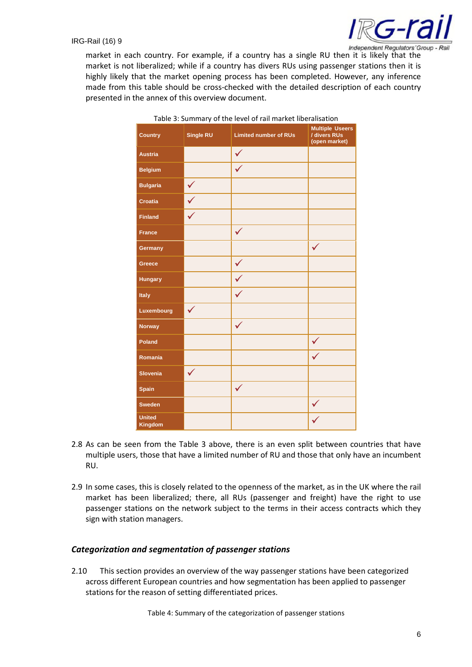

market in each country. For example, if a country has a single RU then it is likely that the market is not liberalized; while if a country has divers RUs using passenger stations then it is highly likely that the market opening process has been completed. However, any inference made from this table should be cross-checked with the detailed description of each country presented in the annex of this overview document.

| <b>Country</b>           | Single RU    | <b>Limited number of RUs</b> | <b>Multiple Useers</b><br>/ divers RUs<br>(open market) |
|--------------------------|--------------|------------------------------|---------------------------------------------------------|
| <b>Austria</b>           |              | $\checkmark$                 |                                                         |
| <b>Belgium</b>           |              | $\checkmark$                 |                                                         |
| <b>Bulgaria</b>          | $\checkmark$ |                              |                                                         |
| <b>Croatia</b>           | $\checkmark$ |                              |                                                         |
| <b>Finland</b>           | $\checkmark$ |                              |                                                         |
| <b>France</b>            |              | $\checkmark$                 |                                                         |
| Germany                  |              |                              | $\checkmark$                                            |
| Greece                   |              | $\checkmark$                 |                                                         |
| <b>Hungary</b>           |              | $\checkmark$                 |                                                         |
| Italy                    |              | $\checkmark$                 |                                                         |
| Luxembourg               | $\checkmark$ |                              |                                                         |
| <b>Norway</b>            |              | $\checkmark$                 |                                                         |
| Poland                   |              |                              | $\checkmark$                                            |
| Romania                  |              |                              | $\checkmark$                                            |
| <b>Slovenia</b>          | $\checkmark$ |                              |                                                         |
| <b>Spain</b>             |              | $\checkmark$                 |                                                         |
| <b>Sweden</b>            |              |                              | $\checkmark$                                            |
| <b>United</b><br>Kingdom |              |                              |                                                         |

Table 3: Summary of the level of rail market liberalisation

- 2.8 As can be seen from the Table 3 above, there is an even split between countries that have multiple users, those that have a limited number of RU and those that only have an incumbent RU.
- 2.9 In some cases, this is closely related to the openness of the market, as in the UK where the rail market has been liberalized; there, all RUs (passenger and freight) have the right to use passenger stations on the network subject to the terms in their access contracts which they sign with station managers.

#### *Categorization and segmentation of passenger stations*

2.10 This section provides an overview of the way passenger stations have been categorized across different European countries and how segmentation has been applied to passenger stations for the reason of setting differentiated prices.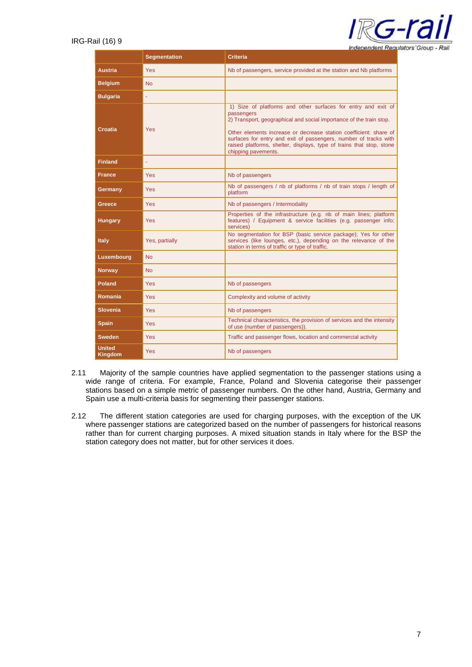| <b>Independent Requiators Group - Rail</b> |  |
|--------------------------------------------|--|

|                                                     | <b>Segmentation</b> | <b>Criteria</b>                                                                                                                                                                                                                                                                                                                                       |  |
|-----------------------------------------------------|---------------------|-------------------------------------------------------------------------------------------------------------------------------------------------------------------------------------------------------------------------------------------------------------------------------------------------------------------------------------------------------|--|
| <b>Austria</b>                                      | Yes                 | Nb of passengers, service provided at the station and Nb platforms                                                                                                                                                                                                                                                                                    |  |
| <b>Belgium</b>                                      | <b>No</b>           |                                                                                                                                                                                                                                                                                                                                                       |  |
| <b>Bulgaria</b>                                     |                     |                                                                                                                                                                                                                                                                                                                                                       |  |
| passengers<br>Croatia<br>Yes<br>chipping pavements. |                     | 1) Size of platforms and other surfaces for entry and exit of<br>2) Transport, geographical and social importance of the train stop.<br>Other elements increase or decrease station coefficient: share of<br>surfaces for entry and exit of passengers, number of tracks with<br>raised platforms, shelter, displays, type of trains that stop, stone |  |
| <b>Finland</b>                                      |                     |                                                                                                                                                                                                                                                                                                                                                       |  |
| <b>France</b>                                       | <b>Yes</b>          | Nb of passengers                                                                                                                                                                                                                                                                                                                                      |  |
| Yes<br>Germany<br>platform                          |                     | Nb of passengers / nb of platforms / nb of train stops / length of                                                                                                                                                                                                                                                                                    |  |
| Greece<br>Yes<br>Nb of passengers / Intermodality   |                     |                                                                                                                                                                                                                                                                                                                                                       |  |
| <b>Hungary</b><br><b>Yes</b><br>services)           |                     | Properties of the infrastructure (e.g. nb of main lines; platform<br>features) / Equipment & service facilities (e.g. passenger info;                                                                                                                                                                                                                 |  |
| <b>Italy</b><br>Yes, partially                      |                     | No segmentation for BSP (basic service package); Yes for other<br>services (like lounges, etc.), depending on the relevance of the<br>station in terms of traffic or type of traffic.                                                                                                                                                                 |  |
| Luxembourg                                          | <b>No</b>           |                                                                                                                                                                                                                                                                                                                                                       |  |
| <b>Norway</b>                                       | <b>No</b>           |                                                                                                                                                                                                                                                                                                                                                       |  |
| Poland                                              | Yes                 | Nb of passengers                                                                                                                                                                                                                                                                                                                                      |  |
| Romania                                             | Yes                 | Complexity and volume of activity                                                                                                                                                                                                                                                                                                                     |  |
| <b>Slovenia</b>                                     | Yes                 | Nb of passengers                                                                                                                                                                                                                                                                                                                                      |  |
| <b>Spain</b>                                        | <b>Yes</b>          | Technical characteristics, the provision of services and the intensity<br>of use (number of passengers)).                                                                                                                                                                                                                                             |  |
| <b>Sweden</b>                                       | <b>Yes</b>          | Traffic and passenger flows, location and commercial activity                                                                                                                                                                                                                                                                                         |  |
| <b>United</b><br><b>Kingdom</b>                     | Yes                 | Nb of passengers                                                                                                                                                                                                                                                                                                                                      |  |

- 2.11 Majority of the sample countries have applied segmentation to the passenger stations using a wide range of criteria. For example, France, Poland and Slovenia categorise their passenger stations based on a simple metric of passenger numbers. On the other hand, Austria, Germany and Spain use a multi-criteria basis for segmenting their passenger stations.
- 2.12 The different station categories are used for charging purposes, with the exception of the UK where passenger stations are categorized based on the number of passengers for historical reasons rather than for current charging purposes. A mixed situation stands in Italy where for the BSP the station category does not matter, but for other services it does.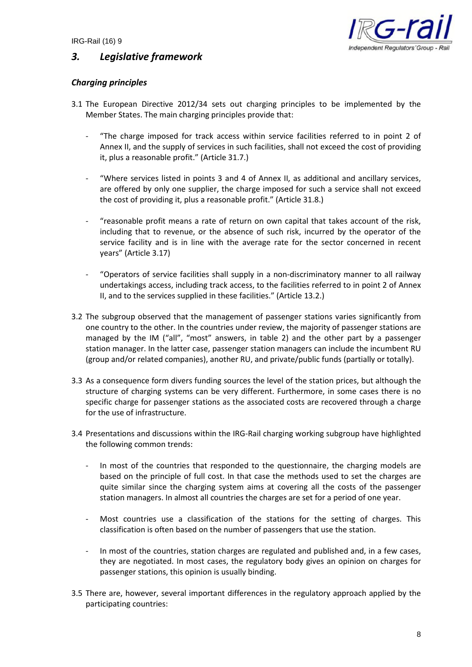

## *3. Legislative framework*

#### *Charging principles*

- 3.1 The European Directive 2012/34 sets out charging principles to be implemented by the Member States. The main charging principles provide that:
	- "The charge imposed for track access within service facilities referred to in point 2 of Annex II, and the supply of services in such facilities, shall not exceed the cost of providing it, plus a reasonable profit." (Article 31.7.)
	- "Where services listed in points 3 and 4 of Annex II, as additional and ancillary services, are offered by only one supplier, the charge imposed for such a service shall not exceed the cost of providing it, plus a reasonable profit." (Article 31.8.)
	- "reasonable profit means a rate of return on own capital that takes account of the risk, including that to revenue, or the absence of such risk, incurred by the operator of the service facility and is in line with the average rate for the sector concerned in recent years" (Article 3.17)
	- "Operators of service facilities shall supply in a non-discriminatory manner to all railway undertakings access, including track access, to the facilities referred to in point 2 of Annex II, and to the services supplied in these facilities." (Article 13.2.)
- 3.2 The subgroup observed that the management of passenger stations varies significantly from one country to the other. In the countries under review, the majority of passenger stations are managed by the IM ("all", "most" answers, in table 2) and the other part by a passenger station manager. In the latter case, passenger station managers can include the incumbent RU (group and/or related companies), another RU, and private/public funds (partially or totally).
- 3.3 As a consequence form divers funding sources the level of the station prices, but although the structure of charging systems can be very different. Furthermore, in some cases there is no specific charge for passenger stations as the associated costs are recovered through a charge for the use of infrastructure.
- 3.4 Presentations and discussions within the IRG-Rail charging working subgroup have highlighted the following common trends:
	- In most of the countries that responded to the questionnaire, the charging models are based on the principle of full cost. In that case the methods used to set the charges are quite similar since the charging system aims at covering all the costs of the passenger station managers. In almost all countries the charges are set for a period of one year.
	- Most countries use a classification of the stations for the setting of charges. This classification is often based on the number of passengers that use the station.
	- In most of the countries, station charges are regulated and published and, in a few cases, they are negotiated. In most cases, the regulatory body gives an opinion on charges for passenger stations, this opinion is usually binding.
- 3.5 There are, however, several important differences in the regulatory approach applied by the participating countries: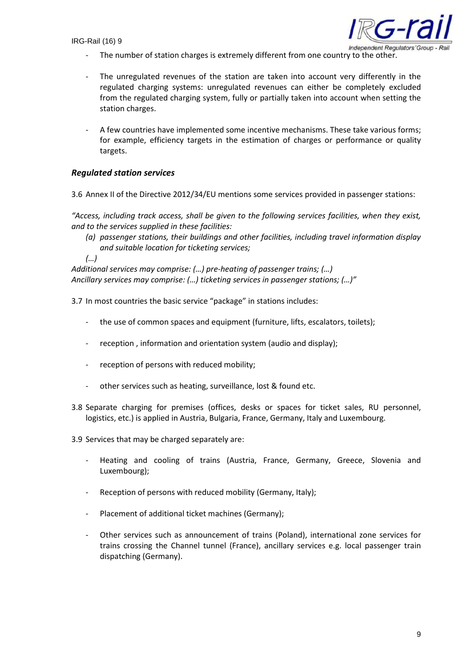

- The number of station charges is extremely different from one country to the other.
- The unregulated revenues of the station are taken into account very differently in the regulated charging systems: unregulated revenues can either be completely excluded from the regulated charging system, fully or partially taken into account when setting the station charges.
- A few countries have implemented some incentive mechanisms. These take various forms; for example, efficiency targets in the estimation of charges or performance or quality targets.

#### *Regulated station services*

3.6 Annex II of the Directive 2012/34/EU mentions some services provided in passenger stations:

*"Access, including track access, shall be given to the following services facilities, when they exist, and to the services supplied in these facilities:*

*(a) passenger stations, their buildings and other facilities, including travel information display and suitable location for ticketing services;*

*(…)*

*Additional services may comprise: (…) pre-heating of passenger trains; (…) Ancillary services may comprise: (…) ticketing services in passenger stations; (…)"*

3.7 In most countries the basic service "package" in stations includes:

- the use of common spaces and equipment (furniture, lifts, escalators, toilets);
- reception , information and orientation system (audio and display);
- reception of persons with reduced mobility;
- other services such as heating, surveillance, lost & found etc.
- 3.8 Separate charging for premises (offices, desks or spaces for ticket sales, RU personnel, logistics, etc.) is applied in Austria, Bulgaria, France, Germany, Italy and Luxembourg.
- 3.9 Services that may be charged separately are:
	- Heating and cooling of trains (Austria, France, Germany, Greece, Slovenia and Luxembourg);
	- Reception of persons with reduced mobility (Germany, Italy);
	- Placement of additional ticket machines (Germany);
	- Other services such as announcement of trains (Poland), international zone services for trains crossing the Channel tunnel (France), ancillary services e.g. local passenger train dispatching (Germany).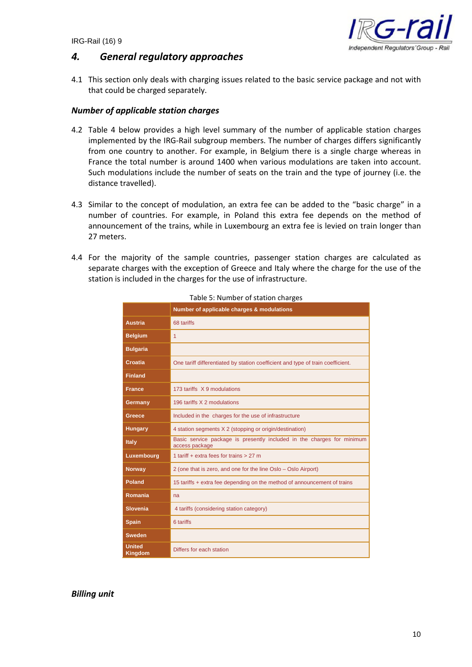

## *4. General regulatory approaches*

4.1 This section only deals with charging issues related to the basic service package and not with that could be charged separately.

#### *Number of applicable station charges*

- 4.2 Table 4 below provides a high level summary of the number of applicable station charges implemented by the IRG-Rail subgroup members. The number of charges differs significantly from one country to another. For example, in Belgium there is a single charge whereas in France the total number is around 1400 when various modulations are taken into account. Such modulations include the number of seats on the train and the type of journey (i.e. the distance travelled).
- 4.3 Similar to the concept of modulation, an extra fee can be added to the "basic charge" in a number of countries. For example, in Poland this extra fee depends on the method of announcement of the trains, while in Luxembourg an extra fee is levied on train longer than 27 meters.
- 4.4 For the majority of the sample countries, passenger station charges are calculated as separate charges with the exception of Greece and Italy where the charge for the use of the station is included in the charges for the use of infrastructure.

|                          | Number of applicable charges & modulations                                               |  |
|--------------------------|------------------------------------------------------------------------------------------|--|
| <b>Austria</b>           | 68 tariffs                                                                               |  |
| <b>Belgium</b>           | 1                                                                                        |  |
| <b>Bulgaria</b>          |                                                                                          |  |
| Croatia                  | One tariff differentiated by station coefficient and type of train coefficient.          |  |
| <b>Finland</b>           |                                                                                          |  |
| <b>France</b>            | 173 tariffs X 9 modulations                                                              |  |
| Germany                  | 196 tariffs X 2 modulations                                                              |  |
| Greece                   | Included in the charges for the use of infrastructure                                    |  |
| <b>Hungary</b>           | 4 station segments X 2 (stopping or origin/destination)                                  |  |
| <b>Italy</b>             | Basic service package is presently included in the charges for minimum<br>access package |  |
| Luxembourg               | 1 tariff $+$ extra fees for trains $> 27$ m                                              |  |
| <b>Norway</b>            | 2 (one that is zero, and one for the line Oslo - Oslo Airport)                           |  |
| <b>Poland</b>            | 15 tariffs + extra fee depending on the method of announcement of trains                 |  |
| Romania                  | na                                                                                       |  |
| <b>Slovenia</b>          | 4 tariffs (considering station category)                                                 |  |
| <b>Spain</b>             | 6 tariffs                                                                                |  |
| <b>Sweden</b>            |                                                                                          |  |
| <b>United</b><br>Kingdom | Differs for each station                                                                 |  |

Table 5: Number of station charges

*Billing unit*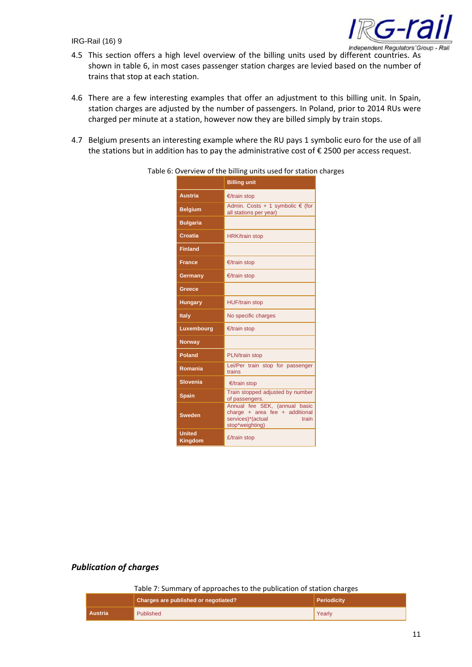

- Independent Regulators' Group Rail<br>4.5 This section offers a high level overview of the billing units used by different countries. As shown in table 6, in most cases passenger station charges are levied based on the number of trains that stop at each station.
- 4.6 There are a few interesting examples that offer an adjustment to this billing unit. In Spain, station charges are adjusted by the number of passengers. In Poland, prior to 2014 RUs were charged per minute at a station, however now they are billed simply by train stops.
- 4.7 Belgium presents an interesting example where the RU pays 1 symbolic euro for the use of all the stations but in addition has to pay the administrative cost of € 2500 per access request.

|                                 | <b>Billing unit</b>                                                                                              |  |
|---------------------------------|------------------------------------------------------------------------------------------------------------------|--|
| <b>Austria</b>                  | $E$ /train stop                                                                                                  |  |
| <b>Belgium</b>                  | Admin. Costs + 1 symbolic $\epsilon$ (for<br>all stations per year)                                              |  |
| <b>Bulgaria</b>                 |                                                                                                                  |  |
| <b>Croatia</b>                  | <b>HRK/train stop</b>                                                                                            |  |
| <b>Finland</b>                  |                                                                                                                  |  |
| <b>France</b>                   | €/train stop                                                                                                     |  |
| Germany                         | €/train stop                                                                                                     |  |
| Greece                          |                                                                                                                  |  |
| <b>Hungary</b>                  | <b>HUF/train stop</b>                                                                                            |  |
| Italy                           | No specific charges                                                                                              |  |
| Luxembourg                      | €/train stop                                                                                                     |  |
| <b>Norway</b>                   |                                                                                                                  |  |
| Poland                          | <b>PLN/train stop</b>                                                                                            |  |
| Romania                         | Lei/Per train stop for passenger<br>trains                                                                       |  |
| <b>Slovenia</b>                 | €/train stop                                                                                                     |  |
| <b>Spain</b>                    | Train stopped adjusted by number<br>of passengers.                                                               |  |
| <b>Sweden</b>                   | Annual fee SEK, (annual basic<br>charge + area fee + additional<br>services)*(actual<br>train<br>stop*weighting) |  |
| <b>United</b><br><b>Kingdom</b> | £/train stop                                                                                                     |  |

Table 6: Overview of the billing units used for station charges

#### *Publication of charges*

Table 7: Summary of approaches to the publication of station charges

|         | Charges are published or negotiated? | <b>Periodicity</b> |
|---------|--------------------------------------|--------------------|
| Austria | <b>Published</b>                     | Yearly             |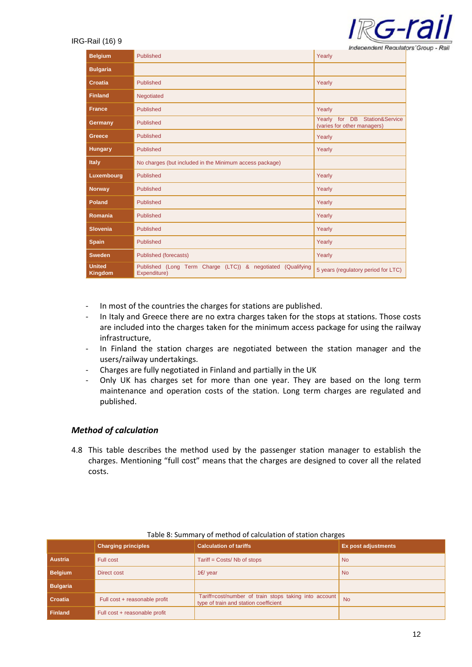

|                          |                                                                             | Independent Requiate                                         |
|--------------------------|-----------------------------------------------------------------------------|--------------------------------------------------------------|
| <b>Belgium</b>           | Published                                                                   | Yearly                                                       |
| <b>Bulgaria</b>          |                                                                             |                                                              |
| Croatia                  | Published                                                                   | Yearly                                                       |
| <b>Finland</b>           | Negotiated                                                                  |                                                              |
| <b>France</b>            | Published                                                                   | Yearly                                                       |
| Germany                  | Published                                                                   | Yearly for DB Station&Service<br>(varies for other managers) |
| Greece                   | Published                                                                   | Yearly                                                       |
| <b>Hungary</b>           | Published                                                                   | Yearly                                                       |
| <b>Italy</b>             | No charges (but included in the Minimum access package)                     |                                                              |
| Luxembourg               | <b>Published</b>                                                            | Yearly                                                       |
| <b>Norway</b>            | Published                                                                   | Yearly                                                       |
| Poland                   | Published                                                                   | Yearly                                                       |
| Romania                  | Published                                                                   | Yearly                                                       |
| <b>Slovenia</b>          | Published                                                                   | Yearly                                                       |
| <b>Spain</b>             | Published                                                                   | Yearly                                                       |
| <b>Sweden</b>            | Published (forecasts)                                                       | Yearly                                                       |
| <b>United</b><br>Kingdom | Published (Long Term Charge (LTC)) & negotiated (Qualifying<br>Expenditure) | 5 years (regulatory period for LTC)                          |

- In most of the countries the charges for stations are published.
- In Italy and Greece there are no extra charges taken for the stops at stations. Those costs are included into the charges taken for the minimum access package for using the railway infrastructure,
- In Finland the station charges are negotiated between the station manager and the users/railway undertakings.
- Charges are fully negotiated in Finland and partially in the UK
- Only UK has charges set for more than one year. They are based on the long term maintenance and operation costs of the station. Long term charges are regulated and published.

#### *Method of calculation*

4.8 This table describes the method used by the passenger station manager to establish the charges. Mentioning "full cost" means that the charges are designed to cover all the related costs.

|                 |                               | -                                                                                              |                     |
|-----------------|-------------------------------|------------------------------------------------------------------------------------------------|---------------------|
|                 | <b>Charging principles</b>    | <b>Calculation of tariffs</b>                                                                  | Ex post adjustments |
| <b>Austria</b>  | Full cost                     | Tariff = Costs/ Nb of stops                                                                    | <b>No</b>           |
| <b>Belgium</b>  | <b>Direct cost</b>            | 1€/ year                                                                                       | <b>No</b>           |
| <b>Bulgaria</b> |                               |                                                                                                |                     |
| Croatia         | Full cost + reasonable profit | Tariff=cost/number of train stops taking into account<br>type of train and station coefficient | <b>No</b>           |
| <b>Finland</b>  | Full cost + reasonable profit |                                                                                                |                     |

#### Table 8: Summary of method of calculation of station charges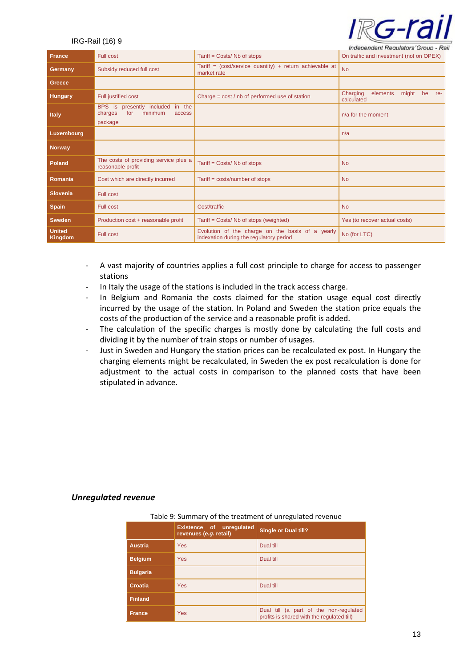# <u> RG-ra</u>

#### IRG-Rail (16) 9

| <b>France</b>                   | Full cost                                                                             | Tariff = Costs/ Nb of stops                                                                 | <i><b>Independent Requiators Group - Rall</b></i><br>On traffic and investment (not on OPEX) |
|---------------------------------|---------------------------------------------------------------------------------------|---------------------------------------------------------------------------------------------|----------------------------------------------------------------------------------------------|
| Germany                         | Subsidy reduced full cost                                                             | Tariff = $(cost/service quantity) + return achievable at$<br>market rate                    | <b>No</b>                                                                                    |
| Greece                          |                                                                                       |                                                                                             |                                                                                              |
| <b>Hungary</b>                  | Full justified cost                                                                   | Charge = cost / nb of performed use of station                                              | might<br>Charging<br>elements<br>be<br>re-<br>calculated                                     |
| <b>Italy</b>                    | BPS is presently included<br>in the<br>minimum<br>for<br>charges<br>access<br>package |                                                                                             | $n/a$ for the moment                                                                         |
| Luxembourg                      |                                                                                       |                                                                                             | n/a                                                                                          |
| <b>Norway</b>                   |                                                                                       |                                                                                             |                                                                                              |
| <b>Poland</b>                   | The costs of providing service plus a<br>reasonable profit                            | Tariff = Costs/ Nb of stops                                                                 | <b>No</b>                                                                                    |
| Romania                         | Cost which are directly incurred                                                      | Tariff = costs/number of stops                                                              | <b>No</b>                                                                                    |
| <b>Slovenia</b>                 | Full cost                                                                             |                                                                                             |                                                                                              |
| <b>Spain</b>                    | <b>Full cost</b>                                                                      | Cost/traffic                                                                                | <b>No</b>                                                                                    |
| <b>Sweden</b>                   | Production cost + reasonable profit                                                   | Tariff = Costs/ Nb of stops (weighted)                                                      | Yes (to recover actual costs)                                                                |
| <b>United</b><br><b>Kingdom</b> | <b>Full cost</b>                                                                      | Evolution of the charge on the basis of a yearly<br>indexation during the regulatory period | No (for LTC)                                                                                 |

- A vast majority of countries applies a full cost principle to charge for access to passenger stations
- In Italy the usage of the stations is included in the track access charge.
- In Belgium and Romania the costs claimed for the station usage equal cost directly incurred by the usage of the station. In Poland and Sweden the station price equals the costs of the production of the service and a reasonable profit is added.
- The calculation of the specific charges is mostly done by calculating the full costs and dividing it by the number of train stops or number of usages.
- Just in Sweden and Hungary the station prices can be recalculated ex post. In Hungary the charging elements might be recalculated, in Sweden the ex post recalculation is done for adjustment to the actual costs in comparison to the planned costs that have been stipulated in advance.

#### *Unregulated revenue*

| Table 9: Summary of the treatment of unregulated revenue |                                                    |                                                                                      |  |  |  |
|----------------------------------------------------------|----------------------------------------------------|--------------------------------------------------------------------------------------|--|--|--|
|                                                          | Existence of unregulated<br>revenues (e.g. retail) | <b>Single or Dual till?</b>                                                          |  |  |  |
| <b>Austria</b>                                           | <b>Yes</b>                                         | Dual till                                                                            |  |  |  |
| <b>Belgium</b>                                           | <b>Yes</b>                                         | Dual till                                                                            |  |  |  |
| <b>Bulgaria</b>                                          |                                                    |                                                                                      |  |  |  |
| Croatia                                                  | <b>Yes</b>                                         | Dual till                                                                            |  |  |  |
| <b>Finland</b>                                           |                                                    |                                                                                      |  |  |  |
| <b>France</b>                                            | <b>Yes</b>                                         | Dual till (a part of the non-regulated<br>profits is shared with the regulated till) |  |  |  |

#### Table 9: Summary of the treatment of unregulated revenue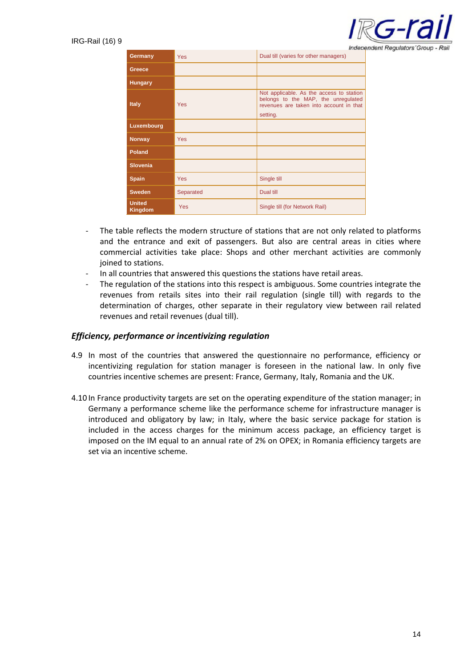

|                                 |            | Indepe                                                                                                                                 |
|---------------------------------|------------|----------------------------------------------------------------------------------------------------------------------------------------|
| Germany                         | <b>Yes</b> | Dual till (varies for other managers)                                                                                                  |
| Greece                          |            |                                                                                                                                        |
| <b>Hungary</b>                  |            |                                                                                                                                        |
| <b>Italy</b>                    | Yes        | Not applicable. As the access to station<br>belongs to the MAP, the unregulated<br>revenues are taken into account in that<br>setting. |
| Luxembourg                      |            |                                                                                                                                        |
| <b>Norway</b>                   | <b>Yes</b> |                                                                                                                                        |
| <b>Poland</b>                   |            |                                                                                                                                        |
| <b>Slovenia</b>                 |            |                                                                                                                                        |
| <b>Spain</b>                    | <b>Yes</b> | Single till                                                                                                                            |
| <b>Sweden</b>                   | Separated  | Dual till                                                                                                                              |
| <b>United</b><br><b>Kingdom</b> | Yes        | Single till (for Network Rail)                                                                                                         |

- The table reflects the modern structure of stations that are not only related to platforms and the entrance and exit of passengers. But also are central areas in cities where commercial activities take place: Shops and other merchant activities are commonly joined to stations.
- In all countries that answered this questions the stations have retail areas.
- The regulation of the stations into this respect is ambiguous. Some countries integrate the revenues from retails sites into their rail regulation (single till) with regards to the determination of charges, other separate in their regulatory view between rail related revenues and retail revenues (dual till).

#### *Efficiency, performance or incentivizing regulation*

- 4.9 In most of the countries that answered the questionnaire no performance, efficiency or incentivizing regulation for station manager is foreseen in the national law. In only five countries incentive schemes are present: France, Germany, Italy, Romania and the UK.
- 4.10 In France productivity targets are set on the operating expenditure of the station manager; in Germany a performance scheme like the performance scheme for infrastructure manager is introduced and obligatory by law; in Italy, where the basic service package for station is included in the access charges for the minimum access package, an efficiency target is imposed on the IM equal to an annual rate of 2% on OPEX; in Romania efficiency targets are set via an incentive scheme.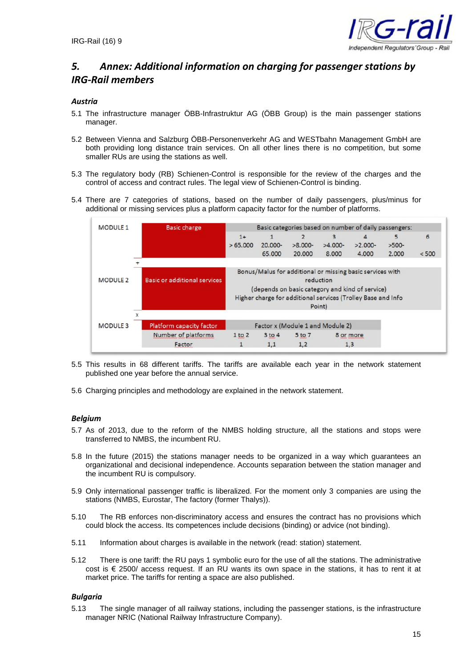

## *5. Annex: Additional information on charging for passenger stations by IRG-Rail members*

#### *Austria*

- 5.1 The infrastructure manager ÖBB-Infrastruktur AG (ÖBB Group) is the main passenger stations manager.
- 5.2 Between Vienna and Salzburg ÖBB-Personenverkehr AG and WESTbahn Management GmbH are both providing long distance train services. On all other lines there is no competition, but some smaller RUs are using the stations as well.
- 5.3 The regulatory body (RB) Schienen-Control is responsible for the review of the charges and the control of access and contract rules. The legal view of Schienen-Control is binding.
- 5.4 There are 7 categories of stations, based on the number of daily passengers, plus/minus for additional or missing services plus a platform capacity factor for the number of platforms.

| <b>MODULE 1</b> | <b>Basic charge</b>                             | Basic categories based on number of daily passengers:        |            |           |           |           |         |       |
|-----------------|-------------------------------------------------|--------------------------------------------------------------|------------|-----------|-----------|-----------|---------|-------|
|                 |                                                 | $1+$                                                         |            |           | 3         | 4         | 5       | 6     |
|                 |                                                 | >65.000                                                      | $20.000 -$ | $>8.000-$ | $>4.000-$ | $>2.000-$ | $>500-$ |       |
|                 |                                                 |                                                              | 65.000     | 20,000    | 8.000     | 4.000     | 2.000   | < 500 |
|                 |                                                 |                                                              |            |           |           |           |         |       |
|                 |                                                 | Bonus/Malus for additional or missing basic services with    |            |           |           |           |         |       |
| <b>MODULE 2</b> | <b>Basic or additional services</b>             | reduction                                                    |            |           |           |           |         |       |
|                 | (depends on basic category and kind of service) |                                                              |            |           |           |           |         |       |
|                 |                                                 | Higher charge for additional services (Trolley Base and Info |            |           |           |           |         |       |
|                 |                                                 | Point)                                                       |            |           |           |           |         |       |
|                 |                                                 |                                                              |            |           |           |           |         |       |
| <b>MODULE 3</b> | <b>Platform capacity factor</b>                 | Factor x (Module 1 and Module 2)                             |            |           |           |           |         |       |
|                 | Number of platforms                             | $1$ to $2$                                                   | $3$ to $4$ | 5 to 7    | 8 or more |           |         |       |
|                 | Factor                                          | 1                                                            | 1,1        | 1,2       | 1,3       |           |         |       |

- 5.5 This results in 68 different tariffs. The tariffs are available each year in the network statement published one year before the annual service.
- 5.6 Charging principles and methodology are explained in the network statement.

#### *Belgium*

- 5.7 As of 2013, due to the reform of the NMBS holding structure, all the stations and stops were transferred to NMBS, the incumbent RU.
- 5.8 In the future (2015) the stations manager needs to be organized in a way which guarantees an organizational and decisional independence. Accounts separation between the station manager and the incumbent RU is compulsory.
- 5.9 Only international passenger traffic is liberalized. For the moment only 3 companies are using the stations (NMBS, Eurostar, The factory (former Thalys)).
- 5.10 The RB enforces non-discriminatory access and ensures the contract has no provisions which could block the access. Its competences include decisions (binding) or advice (not binding).
- 5.11 Information about charges is available in the network (read: station) statement.
- 5.12 There is one tariff: the RU pays 1 symbolic euro for the use of all the stations. The administrative cost is € 2500/ access request. If an RU wants its own space in the stations, it has to rent it at market price. The tariffs for renting a space are also published.

#### *Bulgaria*

5.13 The single manager of all railway stations, including the passenger stations, is the infrastructure manager NRIC (National Railway Infrastructure Company).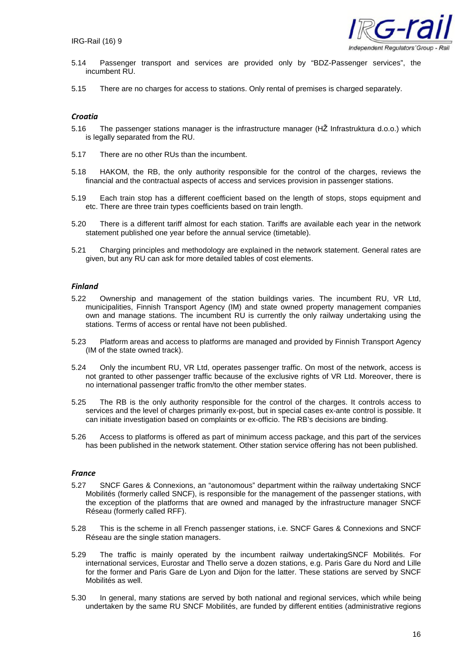

- 5.14 Passenger transport and services are provided only by "BDZ-Passenger services", the incumbent RU.
- 5.15 There are no charges for access to stations. Only rental of premises is charged separately.

#### *Croatia*

- 5.16 The passenger stations manager is the infrastructure manager (HŽ Infrastruktura d.o.o.) which is legally separated from the RU.
- 5.17 There are no other RUs than the incumbent.
- 5.18 HAKOM, the RB, the only authority responsible for the control of the charges, reviews the financial and the contractual aspects of access and services provision in passenger stations.
- 5.19 Each train stop has a different coefficient based on the length of stops, stops equipment and etc. There are three train types coefficients based on train length.
- 5.20 There is a different tariff almost for each station. Tariffs are available each year in the network statement published one year before the annual service (timetable).
- 5.21 Charging principles and methodology are explained in the network statement. General rates are given, but any RU can ask for more detailed tables of cost elements.

#### *Finland*

- 5.22 Ownership and management of the station buildings varies. The incumbent RU, VR Ltd, municipalities, Finnish Transport Agency (IM) and state owned property management companies own and manage stations. The incumbent RU is currently the only railway undertaking using the stations. Terms of access or rental have not been published.
- 5.23 Platform areas and access to platforms are managed and provided by Finnish Transport Agency (IM of the state owned track).
- 5.24 Only the incumbent RU, VR Ltd, operates passenger traffic. On most of the network, access is not granted to other passenger traffic because of the exclusive rights of VR Ltd. Moreover, there is no international passenger traffic from/to the other member states.
- 5.25 The RB is the only authority responsible for the control of the charges. It controls access to services and the level of charges primarily ex-post, but in special cases ex-ante control is possible. It can initiate investigation based on complaints or ex-officio. The RB's decisions are binding.
- 5.26 Access to platforms is offered as part of minimum access package, and this part of the services has been published in the network statement. Other station service offering has not been published.

#### *France*

- 5.27 SNCF Gares & Connexions, an "autonomous" department within the railway undertaking SNCF Mobilités (formerly called SNCF), is responsible for the management of the passenger stations, with the exception of the platforms that are owned and managed by the infrastructure manager SNCF Réseau (formerly called RFF).
- 5.28 This is the scheme in all French passenger stations, i.e. SNCF Gares & Connexions and SNCF Réseau are the single station managers.
- 5.29 The traffic is mainly operated by the incumbent railway undertakingSNCF Mobilités. For international services, Eurostar and Thello serve a dozen stations, e.g. Paris Gare du Nord and Lille for the former and Paris Gare de Lyon and Dijon for the latter. These stations are served by SNCF Mobilités as well.
- 5.30 In general, many stations are served by both national and regional services, which while being undertaken by the same RU SNCF Mobilités, are funded by different entities (administrative regions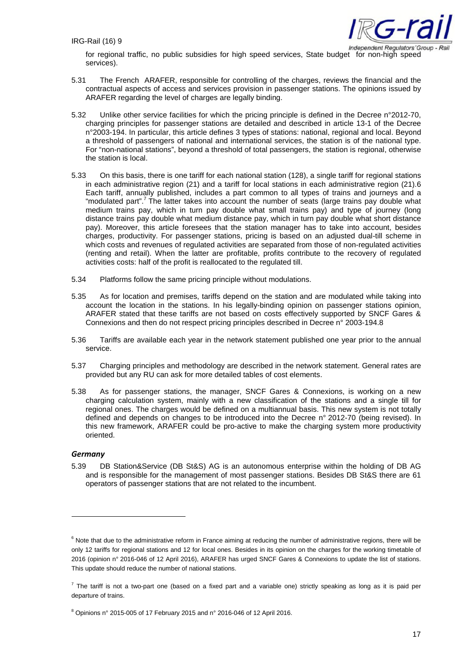

for regional traffic, no public subsidies for high speed services, State budget for non-high speed services).

- 5.31 The French ARAFER, responsible for controlling of the charges, reviews the financial and the contractual aspects of access and services provision in passenger stations. The opinions issued by ARAFER regarding the level of charges are legally binding.
- 5.32 Unlike other service facilities for which the pricing principle is defined in the Decree n°2012-70, charging principles for passenger stations are detailed and described in article 13-1 of the Decree n°2003-194. In particular, this article defines 3 types of stations: national, regional and local. Beyond a threshold of passengers of national and international services, the station is of the national type. For "non-national stations", beyond a threshold of total passengers, the station is regional, otherwise the station is local.
- 5.33 On this basis, there is one tariff for each national station (128), a single tariff for regional stations in each administrative region (21) and a tariff for local stations in each administrative region (21).6 Each tariff, annually published, includes a part common to all types of trains and journeys and a "modulated part".<sup>7</sup> The latter takes into account the number of seats (large trains pay double what medium trains pay, which in turn pay double what small trains pay) and type of journey (long distance trains pay double what medium distance pay, which in turn pay double what short distance pay). Moreover, this article foresees that the station manager has to take into account, besides charges, productivity. For passenger stations, pricing is based on an adjusted dual-till scheme in which costs and revenues of regulated activities are separated from those of non-regulated activities (renting and retail). When the latter are profitable, profits contribute to the recovery of regulated activities costs: half of the profit is reallocated to the regulated till.
- 5.34 Platforms follow the same pricing principle without modulations.
- 5.35 As for location and premises, tariffs depend on the station and are modulated while taking into account the location in the stations. In his legally-binding opinion on passenger stations opinion, ARAFER stated that these tariffs are not based on costs effectively supported by SNCF Gares & Connexions and then do not respect pricing principles described in Decree n° 2003-194.8
- 5.36 Tariffs are available each year in the network statement published one year prior to the annual service.
- 5.37 Charging principles and methodology are described in the network statement. General rates are provided but any RU can ask for more detailed tables of cost elements.
- 5.38 As for passenger stations, the manager, SNCF Gares & Connexions, is working on a new charging calculation system, mainly with a new classification of the stations and a single till for regional ones. The charges would be defined on a multiannual basis. This new system is not totally defined and depends on changes to be introduced into the Decree n° 2012-70 (being revised). In this new framework, ARAFER could be pro-active to make the charging system more productivity oriented.

#### *Germany*

5.39 DB Station&Service (DB St&S) AG is an autonomous enterprise within the holding of DB AG and is responsible for the management of most passenger stations. Besides DB St&S there are 61 operators of passenger stations that are not related to the incumbent.

 $6$  Note that due to the administrative reform in France aiming at reducing the number of administrative regions, there will be only 12 tariffs for regional stations and 12 for local ones. Besides in its opinion on the charges for the working timetable of 2016 (opinion n° 2016-046 of 12 April 2016), ARAFER has urged SNCF Gares & Connexions to update the list of stations. This update should reduce the number of national stations.

 $^7$  The tariff is not a two-part one (based on a fixed part and a variable one) strictly speaking as long as it is paid per departure of trains.

<sup>8</sup> Opinions n° 2015-005 of 17 February 2015 and n° 2016-046 of 12 April 2016.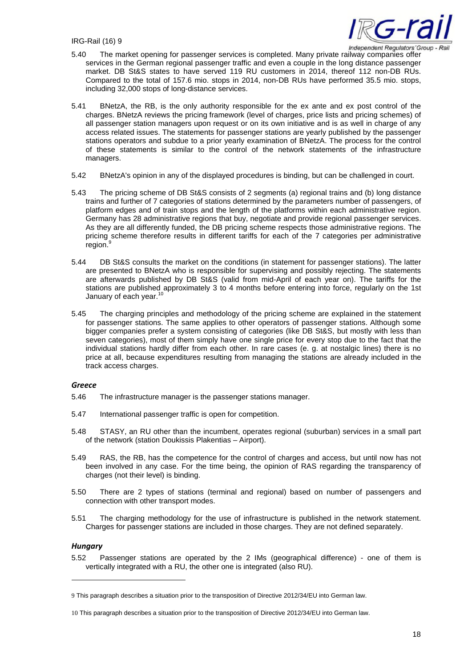

- 5.40 The market opening for passenger services is completed. Many private railway companies offer services in the German regional passenger traffic and even a couple in the long distance passenger market. DB St&S states to have served 119 RU customers in 2014, thereof 112 non-DB RUs. Compared to the total of 157.6 mio. stops in 2014, non-DB RUs have performed 35.5 mio. stops, including 32,000 stops of long-distance services.
- 5.41 BNetzA, the RB, is the only authority responsible for the ex ante and ex post control of the charges. BNetzA reviews the pricing framework (level of charges, price lists and pricing schemes) of all passenger station managers upon request or on its own initiative and is as well in charge of any access related issues. The statements for passenger stations are yearly published by the passenger stations operators and subdue to a prior yearly examination of BNetzA. The process for the control of these statements is similar to the control of the network statements of the infrastructure managers.
- 5.42 BNetzA's opinion in any of the displayed procedures is binding, but can be challenged in court.
- 5.43 The pricing scheme of DB St&S consists of 2 segments (a) regional trains and (b) long distance trains and further of 7 categories of stations determined by the parameters number of passengers, of platform edges and of train stops and the length of the platforms within each administrative region. Germany has 28 administrative regions that buy, negotiate and provide regional passenger services. As they are all differently funded, the DB pricing scheme respects those administrative regions. The pricing scheme therefore results in different tariffs for each of the 7 categories per administrative region.
- 5.44 DB St&S consults the market on the conditions (in statement for passenger stations). The latter are presented to BNetzA who is responsible for supervising and possibly rejecting. The statements are afterwards published by DB St&S (valid from mid-April of each year on). The tariffs for the stations are published approximately 3 to 4 months before entering into force, regularly on the 1st January of each year.<sup>10</sup>
- 5.45 The charging principles and methodology of the pricing scheme are explained in the statement for passenger stations. The same applies to other operators of passenger stations. Although some bigger companies prefer a system consisting of categories (like DB St&S, but mostly with less than seven categories), most of them simply have one single price for every stop due to the fact that the individual stations hardly differ from each other. In rare cases (e. g. at nostalgic lines) there is no price at all, because expenditures resulting from managing the stations are already included in the track access charges.

#### *Greece*

- 5.46 The infrastructure manager is the passenger stations manager.
- 5.47 International passenger traffic is open for competition.
- 5.48 STASY, an RU other than the incumbent, operates regional (suburban) services in a small part of the network (station Doukissis Plakentias – Airport).
- 5.49 RAS, the RB, has the competence for the control of charges and access, but until now has not been involved in any case. For the time being, the opinion of RAS regarding the transparency of charges (not their level) is binding.
- 5.50 There are 2 types of stations (terminal and regional) based on number of passengers and connection with other transport modes.
- 5.51 The charging methodology for the use of infrastructure is published in the network statement. Charges for passenger stations are included in those charges. They are not defined separately.

#### *Hungary*

5.52 Passenger stations are operated by the 2 IMs (geographical difference) - one of them is vertically integrated with a RU, the other one is integrated (also RU).

<sup>9</sup> This paragraph describes a situation prior to the transposition of Directive 2012/34/EU into German law.

<sup>10</sup> This paragraph describes a situation prior to the transposition of Directive 2012/34/EU into German law.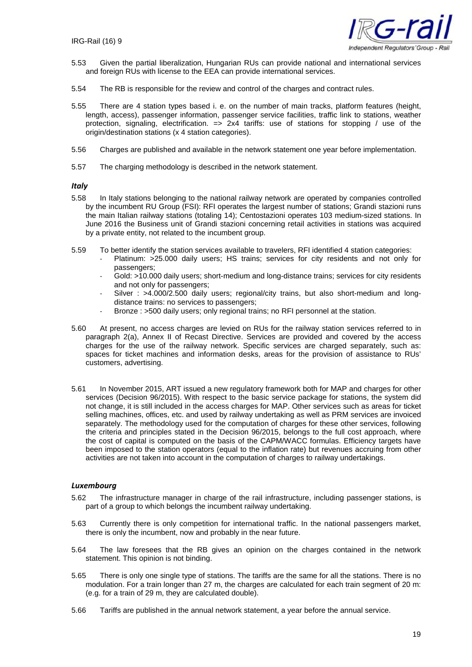

- 5.53 Given the partial liberalization, Hungarian RUs can provide national and international services and foreign RUs with license to the EEA can provide international services.
- 5.54 The RB is responsible for the review and control of the charges and contract rules.
- 5.55 There are 4 station types based i. e. on the number of main tracks, platform features (height, length, access), passenger information, passenger service facilities, traffic link to stations, weather protection, signaling, electrification.  $\Rightarrow$  2x4 tariffs: use of stations for stopping / use of the origin/destination stations (x 4 station categories).
- 5.56 Charges are published and available in the network statement one year before implementation.
- 5.57 The charging methodology is described in the network statement.

#### *Italy*

- 5.58 In Italy stations belonging to the national railway network are operated by companies controlled by the incumbent RU Group (FSI): RFI operates the largest number of stations; Grandi stazioni runs the main Italian railway stations (totaling 14); Centostazioni operates 103 medium-sized stations. In June 2016 the Business unit of Grandi stazioni concerning retail activities in stations was acquired by a private entity, not related to the incumbent group.
- 5.59 To better identify the station services available to travelers, RFI identified 4 station categories:
	- Platinum: >25.000 daily users; HS trains; services for city residents and not only for passengers;
	- Gold: >10.000 daily users; short-medium and long-distance trains; services for city residents and not only for passengers;
	- Silver : >4.000/2.500 daily users; regional/city trains, but also short-medium and longdistance trains: no services to passengers;
	- Bronze : >500 daily users; only regional trains; no RFI personnel at the station.
- 5.60 At present, no access charges are levied on RUs for the railway station services referred to in paragraph 2(a), Annex II of Recast Directive. Services are provided and covered by the access charges for the use of the railway network. Specific services are charged separately, such as: spaces for ticket machines and information desks, areas for the provision of assistance to RUs' customers, advertising.
- 5.61 In November 2015, ART issued a new regulatory framework both for MAP and charges for other services (Decision 96/2015). With respect to the basic service package for stations, the system did not change, it is still included in the access charges for MAP. Other services such as areas for ticket selling machines, offices, etc. and used by railway undertaking as well as PRM services are invoiced separately. The methodology used for the computation of charges for these other services, following the criteria and principles stated in the Decision 96/2015, belongs to the full cost approach, where the cost of capital is computed on the basis of the CAPM/WACC formulas. Efficiency targets have been imposed to the station operators (equal to the inflation rate) but revenues accruing from other activities are not taken into account in the computation of charges to railway undertakings.

#### *Luxembourg*

- 5.62 The infrastructure manager in charge of the rail infrastructure, including passenger stations, is part of a group to which belongs the incumbent railway undertaking.
- 5.63 Currently there is only competition for international traffic. In the national passengers market, there is only the incumbent, now and probably in the near future.
- 5.64 The law foresees that the RB gives an opinion on the charges contained in the network statement. This opinion is not binding.
- 5.65 There is only one single type of stations. The tariffs are the same for all the stations. There is no modulation. For a train longer than 27 m, the charges are calculated for each train segment of 20 m: (e.g. for a train of 29 m, they are calculated double).
- 5.66 Tariffs are published in the annual network statement, a year before the annual service.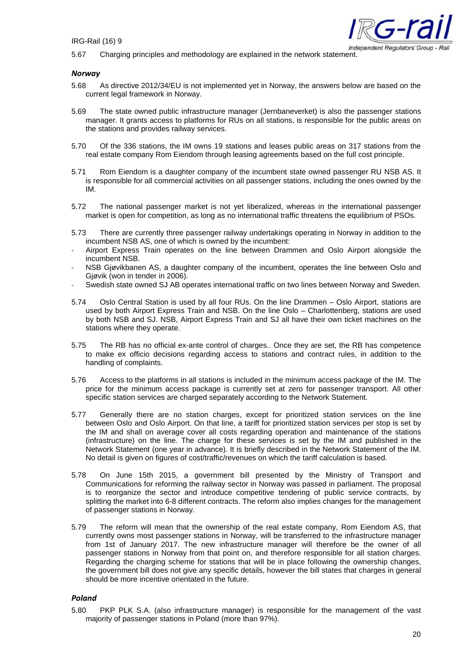

5.67 Charging principles and methodology are explained in the network statement.

#### *Norway*

- 5.68 As directive 2012/34/EU is not implemented yet in Norway, the answers below are based on the current legal framework in Norway.
- 5.69 The state owned public infrastructure manager (Jernbaneverket) is also the passenger stations manager. It grants access to platforms for RUs on all stations, is responsible for the public areas on the stations and provides railway services.
- 5.70 Of the 336 stations, the IM owns 19 stations and leases public areas on 317 stations from the real estate company Rom Eiendom through leasing agreements based on the full cost principle.
- 5.71 Rom Eiendom is a daughter company of the incumbent state owned passenger RU NSB AS. It is responsible for all commercial activities on all passenger stations, including the ones owned by the IM.
- 5.72 The national passenger market is not yet liberalized, whereas in the international passenger market is open for competition, as long as no international traffic threatens the equilibrium of PSOs.
- 5.73 There are currently three passenger railway undertakings operating in Norway in addition to the incumbent NSB AS, one of which is owned by the incumbent:
- Airport Express Train operates on the line between Drammen and Oslo Airport alongside the incumbent NSB.
- NSB Gjøvikbanen AS, a daughter company of the incumbent, operates the line between Oslo and Gjøvik (won in tender in 2006).
- Swedish state owned SJ AB operates international traffic on two lines between Norway and Sweden.
- 5.74 Oslo Central Station is used by all four RUs. On the line Drammen Oslo Airport, stations are used by both Airport Express Train and NSB. On the line Oslo – Charlottenberg, stations are used by both NSB and SJ. NSB, Airport Express Train and SJ all have their own ticket machines on the stations where they operate.
- 5.75 The RB has no official ex-ante control of charges.. Once they are set, the RB has competence to make ex officio decisions regarding access to stations and contract rules, in addition to the handling of complaints.
- 5.76 Access to the platforms in all stations is included in the minimum access package of the IM. The price for the minimum access package is currently set at zero for passenger transport. All other specific station services are charged separately according to the Network Statement.
- 5.77 Generally there are no station charges, except for prioritized station services on the line between Oslo and Oslo Airport. On that line, a tariff for prioritized station services per stop is set by the IM and shall on average cover all costs regarding operation and maintenance of the stations (infrastructure) on the line. The charge for these services is set by the IM and published in the Network Statement (one year in advance). It is briefly described in the Network Statement of the IM. No detail is given on figures of cost/traffic/revenues on which the tariff calculation is based.
- 5.78 On June 15th 2015, a government bill presented by the Ministry of Transport and Communications for reforming the railway sector in Norway was passed in parliament. The proposal is to reorganize the sector and introduce competitive tendering of public service contracts, by splitting the market into 6-8 different contracts. The reform also implies changes for the management of passenger stations in Norway.
- 5.79 The reform will mean that the ownership of the real estate company, Rom Eiendom AS, that currently owns most passenger stations in Norway, will be transferred to the infrastructure manager from 1st of January 2017. The new infrastructure manager will therefore be the owner of all passenger stations in Norway from that point on, and therefore responsible for all station charges. Regarding the charging scheme for stations that will be in place following the ownership changes, the government bill does not give any specific details, however the bill states that charges in general should be more incentive orientated in the future.

#### *Poland*

5.80 PKP PLK S.A. (also infrastructure manager) is responsible for the management of the vast majority of passenger stations in Poland (more than 97%).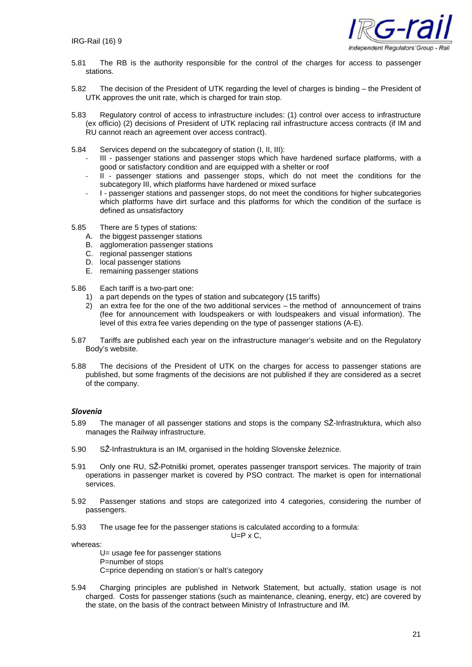

- 5.81 The RB is the authority responsible for the control of the charges for access to passenger stations.
- 5.82 The decision of the President of UTK regarding the level of charges is binding the President of UTK approves the unit rate, which is charged for train stop.
- 5.83 Regulatory control of access to infrastructure includes: (1) control over access to infrastructure (ex officio) (2) decisions of President of UTK replacing rail infrastructure access contracts (if IM and RU cannot reach an agreement over access contract).
- 5.84 Services depend on the subcategory of station (I, II, III):
	- III passenger stations and passenger stops which have hardened surface platforms, with a good or satisfactory condition and are equipped with a shelter or roof
	- II passenger stations and passenger stops, which do not meet the conditions for the subcategory III, which platforms have hardened or mixed surface
	- I passenger stations and passenger stops, do not meet the conditions for higher subcategories which platforms have dirt surface and this platforms for which the condition of the surface is defined as unsatisfactory
- 5.85 There are 5 types of stations:<br>A. the biggest passenger station
	- the biggest passenger stations
	- B. agglomeration passenger stations
	- C. regional passenger stations
	- D. local passenger stations
	- E. remaining passenger stations
- 5.86 Each tariff is a two-part one:
	- 1) a part depends on the types of station and subcategory (15 tariffs)
	- 2) an extra fee for the one of the two additional services the method of announcement of trains (fee for announcement with loudspeakers or with loudspeakers and visual information). The level of this extra fee varies depending on the type of passenger stations (A-E).
- 5.87 Tariffs are published each year on the infrastructure manager's website and on the Regulatory Body's website.
- 5.88 The decisions of the President of UTK on the charges for access to passenger stations are published, but some fragments of the decisions are not published if they are considered as a secret of the company.

#### *Slovenia*

- 5.89 The manager of all passenger stations and stops is the company SŽ-Infrastruktura, which also manages the Railway infrastructure.
- 5.90 SŽ-Infrastruktura is an IM, organised in the holding Slovenske železnice.
- 5.91 Only one RU, SŽ-Potniški promet, operates passenger transport services. The majority of train operations in passenger market is covered by PSO contract. The market is open for international services.
- 5.92 Passenger stations and stops are categorized into 4 categories, considering the number of passengers.
- 5.93 The usage fee for the passenger stations is calculated according to a formula:

 $U=P \times C$ .

whereas:

U= usage fee for passenger stations P=number of stops C=price depending on station's or halt's category

5.94 Charging principles are published in Network Statement, but actually, station usage is not charged. Costs for passenger stations (such as maintenance, cleaning, energy, etc) are covered by the state, on the basis of the contract between Ministry of Infrastructure and IM.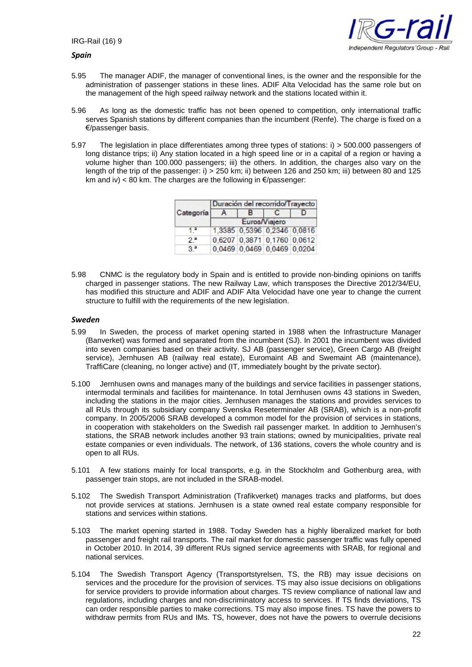

#### *Spain*

- 5.95 The manager ADIF, the manager of conventional lines, is the owner and the responsible for the administration of passenger stations in these lines. ADIF Alta Velocidad has the same role but on the management of the high speed railway network and the stations located within it.
- 5.96 As long as the domestic traffic has not been opened to competition, only international traffic serves Spanish stations by different companies than the incumbent (Renfe). The charge is fixed on a €/passenger basis.
- 5.97 The legislation in place differentiates among three types of stations: i) > 500.000 passengers of long distance trips; ii) Any station located in a high speed line or in a capital of a region or having a volume higher than 100.000 passengers; iii) the others. In addition, the charges also vary on the length of the trip of the passenger: i) > 250 km; ii) between 126 and 250 km; iii) between 80 and 125 km and iv) < 80 km. The charges are the following in  $\epsilon$ /passenger:

|           | Duración del recorrido/Trayecto |                             |  |  |  |
|-----------|---------------------------------|-----------------------------|--|--|--|
| Categoría |                                 | R                           |  |  |  |
|           | Euros/Viajero                   |                             |  |  |  |
|           |                                 | 1,3385 0,5396 0,2346 0,0816 |  |  |  |
| 2.        |                                 | 0,6207 0,3871 0,1760 0,0612 |  |  |  |
|           |                                 | 0,0469 0,0469 0,0469 0,0204 |  |  |  |

5.98 CNMC is the regulatory body in Spain and is entitled to provide non-binding opinions on tariffs charged in passenger stations. The new Railway Law, which transposes the Directive 2012/34/EU, has modified this structure and ADIF and ADIF Alta Velocidad have one year to change the current structure to fulfill with the requirements of the new legislation.

#### *Sweden*

- 5.99 In Sweden, the process of market opening started in 1988 when the Infrastructure Manager (Banverket) was formed and separated from the incumbent (SJ). In 2001 the incumbent was divided into seven companies based on their activity. SJ AB (passenger service), Green Cargo AB (freight service), Jernhusen AB (railway real estate), Euromaint AB and Swemaint AB (maintenance), TraffiCare (cleaning, no longer active) and (IT, immediately bought by the private sector).
- 5.100 Jernhusen owns and manages many of the buildings and service facilities in passenger stations, intermodal terminals and facilities for maintenance. In total Jernhusen owns 43 stations in Sweden, including the stations in the major cities. Jernhusen manages the stations and provides services to all RUs through its subsidiary company Svenska Reseterminaler AB (SRAB), which is a non-profit company. In 2005/2006 SRAB developed a common model for the provision of services in stations, in cooperation with stakeholders on the Swedish rail passenger market. In addition to Jernhusen's stations, the SRAB network includes another 93 train stations; owned by municipalities, private real estate companies or even individuals. The network, of 136 stations, covers the whole country and is open to all RUs.
- 5.101 A few stations mainly for local transports, e.g. in the Stockholm and Gothenburg area, with passenger train stops, are not included in the SRAB-model.
- 5.102 The Swedish Transport Administration (Trafikverket) manages tracks and platforms, but does not provide services at stations. Jernhusen is a state owned real estate company responsible for stations and services within stations.
- 5.103 The market opening started in 1988. Today Sweden has a highly liberalized market for both passenger and freight rail transports. The rail market for domestic passenger traffic was fully opened in October 2010. In 2014, 39 different RUs signed service agreements with SRAB, for regional and national services.
- 5.104 The Swedish Transport Agency (Transportstyrelsen, TS, the RB) may issue decisions on services and the procedure for the provision of services. TS may also issue decisions on obligations for service providers to provide information about charges. TS review compliance of national law and regulations, including charges and non-discriminatory access to services. If TS finds deviations, TS can order responsible parties to make corrections. TS may also impose fines. TS have the powers to withdraw permits from RUs and IMs. TS, however, does not have the powers to overrule decisions